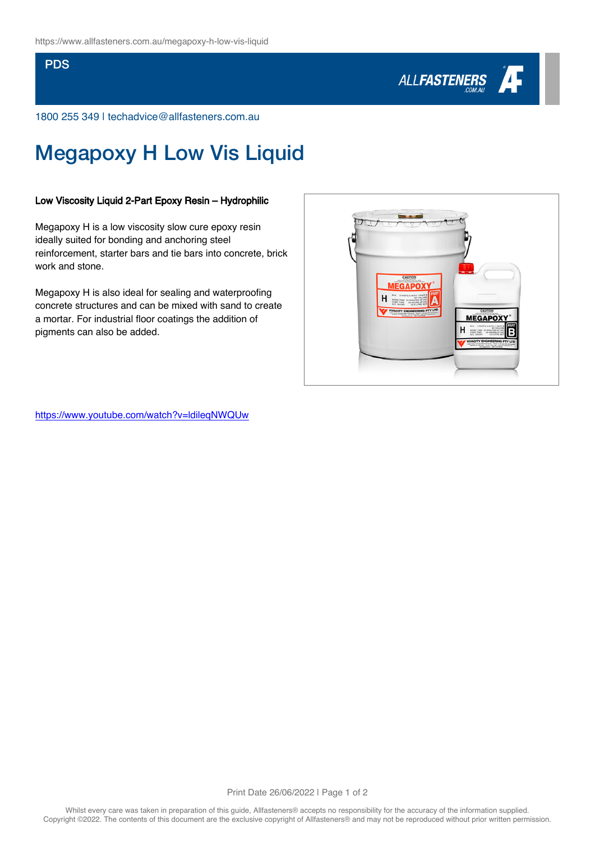### **PDS**



1800 255 349 | techadvice@allfasteners.com.au

# Megapoxy H Low Vis Liquid

#### Low Viscosity Liquid 2-Part Epoxy Resin – Hydrophilic

Megapoxy H is a low viscosity slow cure epoxy resin ideally suited for bonding and anchoring steel reinforcement, starter bars and tie bars into concrete, brick work and stone.

Megapoxy H is also ideal for sealing and waterproofing concrete structures and can be mixed with sand to create a mortar. For industrial floor coatings the addition of pigments can also be added.



<https://www.youtube.com/watch?v=ldileqNWQUw>